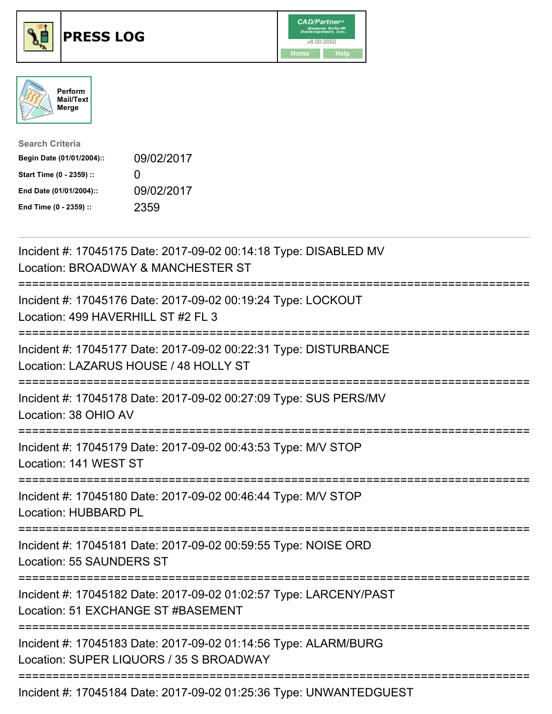





| <b>Search Criteria</b>    |                   |
|---------------------------|-------------------|
| Begin Date (01/01/2004):: | 09/02/2017        |
| Start Time (0 - 2359) ::  | $\mathbf{\Omega}$ |
| End Date (01/01/2004)::   | 09/02/2017        |
| End Time (0 - 2359) ::    | 2359              |

| Incident #: 17045175 Date: 2017-09-02 00:14:18 Type: DISABLED MV<br>Location: BROADWAY & MANCHESTER ST                                                          |
|-----------------------------------------------------------------------------------------------------------------------------------------------------------------|
| Incident #: 17045176 Date: 2017-09-02 00:19:24 Type: LOCKOUT<br>Location: 499 HAVERHILL ST #2 FL 3<br>:========================<br>:=========================== |
| Incident #: 17045177 Date: 2017-09-02 00:22:31 Type: DISTURBANCE<br>Location: LAZARUS HOUSE / 48 HOLLY ST<br>=========================                          |
| Incident #: 17045178 Date: 2017-09-02 00:27:09 Type: SUS PERS/MV<br>Location: 38 OHIO AV                                                                        |
| Incident #: 17045179 Date: 2017-09-02 00:43:53 Type: M/V STOP<br>Location: 141 WEST ST                                                                          |
| Incident #: 17045180 Date: 2017-09-02 00:46:44 Type: M/V STOP<br>Location: HUBBARD PL                                                                           |
| Incident #: 17045181 Date: 2017-09-02 00:59:55 Type: NOISE ORD<br><b>Location: 55 SAUNDERS ST</b>                                                               |
| Incident #: 17045182 Date: 2017-09-02 01:02:57 Type: LARCENY/PAST<br>Location: 51 EXCHANGE ST #BASEMENT<br>==============================                       |
| Incident #: 17045183 Date: 2017-09-02 01:14:56 Type: ALARM/BURG<br>Location: SUPER LIQUORS / 35 S BROADWAY                                                      |
| -----------------------------------<br>Incident #: 17045184 Date: 2017-09-02 01:25:36 Type: UNWANTEDGUEST                                                       |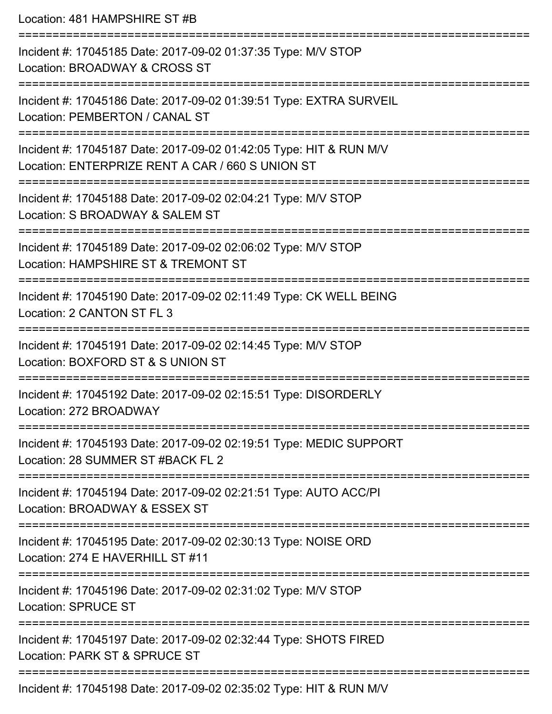Location: 481 HAMPSHIRE ST #B

=========================================================================== Incident #: 17045185 Date: 2017-09-02 01:37:35 Type: M/V STOP Location: BROADWAY & CROSS ST =========================================================================== Incident #: 17045186 Date: 2017-09-02 01:39:51 Type: EXTRA SURVEIL Location: PEMBERTON / CANAL ST =========================================================================== Incident #: 17045187 Date: 2017-09-02 01:42:05 Type: HIT & RUN M/V Location: ENTERPRIZE RENT A CAR / 660 S UNION ST =========================================================================== Incident #: 17045188 Date: 2017-09-02 02:04:21 Type: M/V STOP Location: S BROADWAY & SALEM ST =========================================================================== Incident #: 17045189 Date: 2017-09-02 02:06:02 Type: M/V STOP Location: HAMPSHIRE ST & TREMONT ST =========================================================================== Incident #: 17045190 Date: 2017-09-02 02:11:49 Type: CK WELL BEING Location: 2 CANTON ST FL 3 =========================================================================== Incident #: 17045191 Date: 2017-09-02 02:14:45 Type: M/V STOP Location: BOXFORD ST & S UNION ST =========================================================================== Incident #: 17045192 Date: 2017-09-02 02:15:51 Type: DISORDERLY Location: 272 BROADWAY =========================================================================== Incident #: 17045193 Date: 2017-09-02 02:19:51 Type: MEDIC SUPPORT Location: 28 SUMMER ST #BACK FL 2 =========================================================================== Incident #: 17045194 Date: 2017-09-02 02:21:51 Type: AUTO ACC/PI Location: BROADWAY & ESSEX ST =========================================================================== Incident #: 17045195 Date: 2017-09-02 02:30:13 Type: NOISE ORD Location: 274 F HAVERHILL ST #11 =========================================================================== Incident #: 17045196 Date: 2017-09-02 02:31:02 Type: M/V STOP Location: SPRUCE ST =========================================================================== Incident #: 17045197 Date: 2017-09-02 02:32:44 Type: SHOTS FIRED Location: PARK ST & SPRUCE ST =========================================================================== Incident #: 17045198 Date: 2017-09-02 02:35:02 Type: HIT & RUN M/V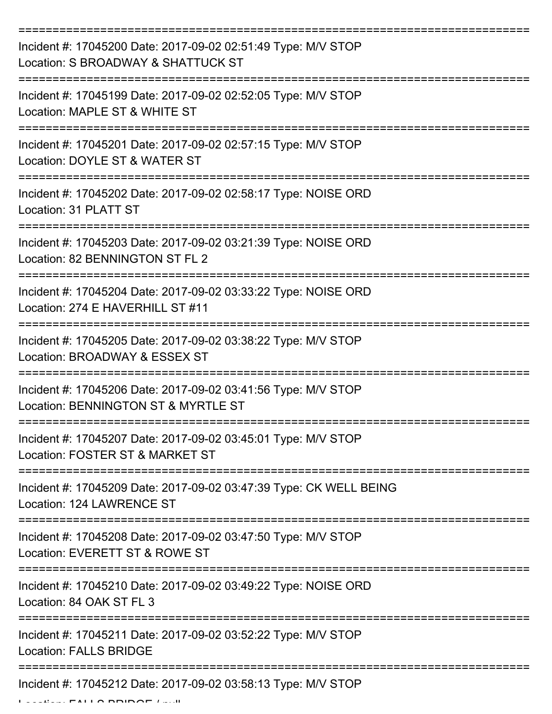| Incident #: 17045200 Date: 2017-09-02 02:51:49 Type: M/V STOP<br>Location: S BROADWAY & SHATTUCK ST  |
|------------------------------------------------------------------------------------------------------|
| Incident #: 17045199 Date: 2017-09-02 02:52:05 Type: M/V STOP<br>Location: MAPLE ST & WHITE ST       |
| Incident #: 17045201 Date: 2017-09-02 02:57:15 Type: M/V STOP<br>Location: DOYLE ST & WATER ST       |
| Incident #: 17045202 Date: 2017-09-02 02:58:17 Type: NOISE ORD<br>Location: 31 PLATT ST              |
| Incident #: 17045203 Date: 2017-09-02 03:21:39 Type: NOISE ORD<br>Location: 82 BENNINGTON ST FL 2    |
| Incident #: 17045204 Date: 2017-09-02 03:33:22 Type: NOISE ORD<br>Location: 274 E HAVERHILL ST #11   |
| Incident #: 17045205 Date: 2017-09-02 03:38:22 Type: M/V STOP<br>Location: BROADWAY & ESSEX ST       |
| Incident #: 17045206 Date: 2017-09-02 03:41:56 Type: M/V STOP<br>Location: BENNINGTON ST & MYRTLE ST |
| Incident #: 17045207 Date: 2017-09-02 03:45:01 Type: M/V STOP<br>Location: FOSTER ST & MARKET ST     |
| Incident #: 17045209 Date: 2017-09-02 03:47:39 Type: CK WELL BEING<br>Location: 124 LAWRENCE ST      |
| Incident #: 17045208 Date: 2017-09-02 03:47:50 Type: M/V STOP<br>Location: EVERETT ST & ROWE ST      |
| Incident #: 17045210 Date: 2017-09-02 03:49:22 Type: NOISE ORD<br>Location: 84 OAK ST FL 3           |
| Incident #: 17045211 Date: 2017-09-02 03:52:22 Type: M/V STOP<br><b>Location: FALLS BRIDGE</b>       |
| Incident #: 17045212 Date: 2017-09-02 03:58:13 Type: M/V STOP                                        |

 $\mathcal{L}$ ... FALLO BRIDGE / null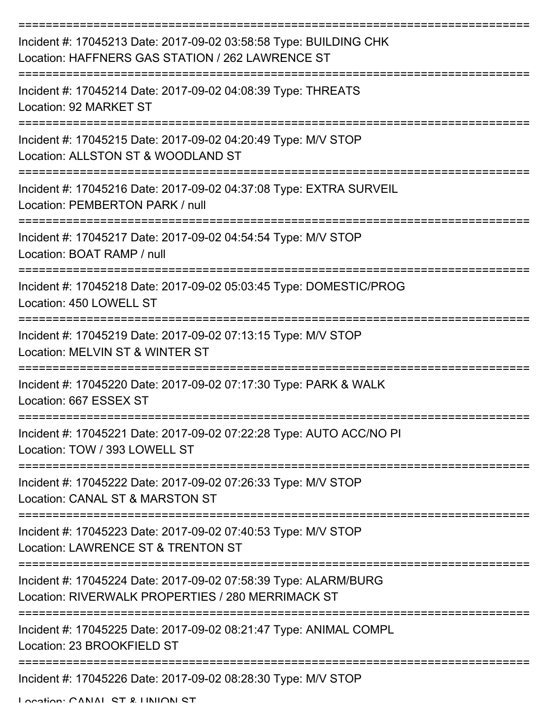| Incident #: 17045213 Date: 2017-09-02 03:58:58 Type: BUILDING CHK<br>Location: HAFFNERS GAS STATION / 262 LAWRENCE ST |
|-----------------------------------------------------------------------------------------------------------------------|
| Incident #: 17045214 Date: 2017-09-02 04:08:39 Type: THREATS<br>Location: 92 MARKET ST                                |
| Incident #: 17045215 Date: 2017-09-02 04:20:49 Type: M/V STOP<br>Location: ALLSTON ST & WOODLAND ST                   |
| Incident #: 17045216 Date: 2017-09-02 04:37:08 Type: EXTRA SURVEIL<br>Location: PEMBERTON PARK / null                 |
| Incident #: 17045217 Date: 2017-09-02 04:54:54 Type: M/V STOP<br>Location: BOAT RAMP / null                           |
| Incident #: 17045218 Date: 2017-09-02 05:03:45 Type: DOMESTIC/PROG<br>Location: 450 LOWELL ST                         |
| Incident #: 17045219 Date: 2017-09-02 07:13:15 Type: M/V STOP<br>Location: MELVIN ST & WINTER ST                      |
| Incident #: 17045220 Date: 2017-09-02 07:17:30 Type: PARK & WALK<br>Location: 667 ESSEX ST                            |
| Incident #: 17045221 Date: 2017-09-02 07:22:28 Type: AUTO ACC/NO PI<br>Location: TOW / 393 LOWELL ST                  |
| Incident #: 17045222 Date: 2017-09-02 07:26:33 Type: M/V STOP<br>Location: CANAL ST & MARSTON ST                      |
| Incident #: 17045223 Date: 2017-09-02 07:40:53 Type: M/V STOP<br>Location: LAWRENCE ST & TRENTON ST                   |
| Incident #: 17045224 Date: 2017-09-02 07:58:39 Type: ALARM/BURG<br>Location: RIVERWALK PROPERTIES / 280 MERRIMACK ST  |
| Incident #: 17045225 Date: 2017-09-02 08:21:47 Type: ANIMAL COMPL<br>Location: 23 BROOKFIELD ST                       |
| Incident #: 17045226 Date: 2017-09-02 08:28:30 Type: M/V STOP                                                         |

Location: CANAL ST & HINIION ST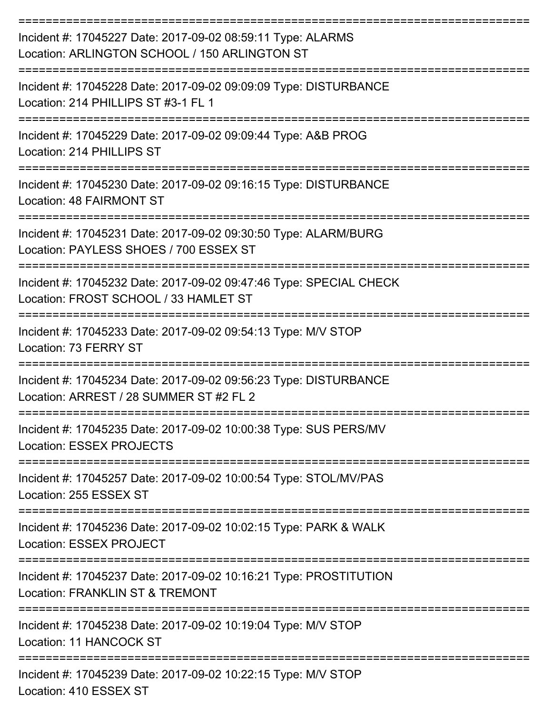| Incident #: 17045227 Date: 2017-09-02 08:59:11 Type: ALARMS<br>Location: ARLINGTON SCHOOL / 150 ARLINGTON ST |
|--------------------------------------------------------------------------------------------------------------|
| Incident #: 17045228 Date: 2017-09-02 09:09:09 Type: DISTURBANCE<br>Location: 214 PHILLIPS ST #3-1 FL 1      |
| Incident #: 17045229 Date: 2017-09-02 09:09:44 Type: A&B PROG<br>Location: 214 PHILLIPS ST                   |
| Incident #: 17045230 Date: 2017-09-02 09:16:15 Type: DISTURBANCE<br>Location: 48 FAIRMONT ST                 |
| Incident #: 17045231 Date: 2017-09-02 09:30:50 Type: ALARM/BURG<br>Location: PAYLESS SHOES / 700 ESSEX ST    |
| Incident #: 17045232 Date: 2017-09-02 09:47:46 Type: SPECIAL CHECK<br>Location: FROST SCHOOL / 33 HAMLET ST  |
| Incident #: 17045233 Date: 2017-09-02 09:54:13 Type: M/V STOP<br>Location: 73 FERRY ST                       |
| Incident #: 17045234 Date: 2017-09-02 09:56:23 Type: DISTURBANCE<br>Location: ARREST / 28 SUMMER ST #2 FL 2  |
| Incident #: 17045235 Date: 2017-09-02 10:00:38 Type: SUS PERS/MV<br><b>Location: ESSEX PROJECTS</b>          |
| Incident #: 17045257 Date: 2017-09-02 10:00:54 Type: STOL/MV/PAS<br>Location: 255 ESSEX ST                   |
| Incident #: 17045236 Date: 2017-09-02 10:02:15 Type: PARK & WALK<br><b>Location: ESSEX PROJECT</b>           |
| Incident #: 17045237 Date: 2017-09-02 10:16:21 Type: PROSTITUTION<br>Location: FRANKLIN ST & TREMONT         |
| Incident #: 17045238 Date: 2017-09-02 10:19:04 Type: M/V STOP<br><b>Location: 11 HANCOCK ST</b>              |
| Incident #: 17045239 Date: 2017-09-02 10:22:15 Type: M/V STOP<br>Location: 410 ESSEX ST                      |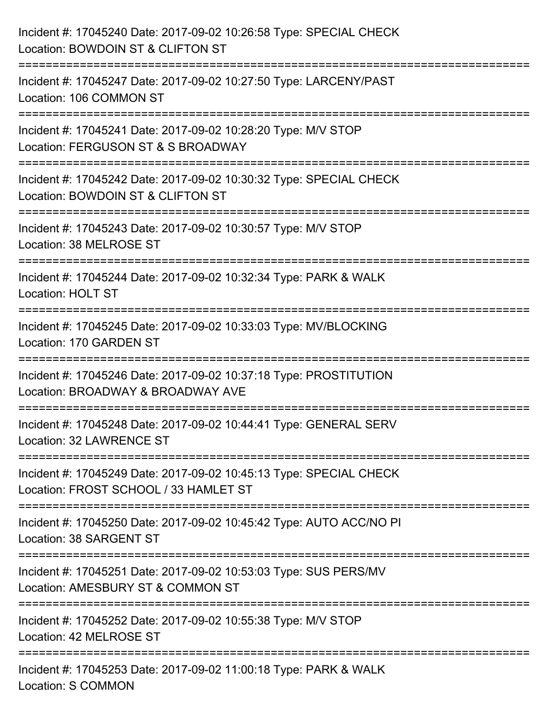| Incident #: 17045240 Date: 2017-09-02 10:26:58 Type: SPECIAL CHECK<br>Location: BOWDOIN ST & CLIFTON ST                                |
|----------------------------------------------------------------------------------------------------------------------------------------|
| ================<br>Incident #: 17045247 Date: 2017-09-02 10:27:50 Type: LARCENY/PAST<br>Location: 106 COMMON ST                       |
| Incident #: 17045241 Date: 2017-09-02 10:28:20 Type: M/V STOP<br>Location: FERGUSON ST & S BROADWAY<br>===============                 |
| Incident #: 17045242 Date: 2017-09-02 10:30:32 Type: SPECIAL CHECK<br>Location: BOWDOIN ST & CLIFTON ST<br>=========================== |
| Incident #: 17045243 Date: 2017-09-02 10:30:57 Type: M/V STOP<br>Location: 38 MELROSE ST                                               |
| Incident #: 17045244 Date: 2017-09-02 10:32:34 Type: PARK & WALK<br><b>Location: HOLT ST</b>                                           |
| Incident #: 17045245 Date: 2017-09-02 10:33:03 Type: MV/BLOCKING<br>Location: 170 GARDEN ST                                            |
| Incident #: 17045246 Date: 2017-09-02 10:37:18 Type: PROSTITUTION<br>Location: BROADWAY & BROADWAY AVE                                 |
| Incident #: 17045248 Date: 2017-09-02 10:44:41 Type: GENERAL SERV<br>Location: 32 LAWRENCE ST                                          |
| Incident #: 17045249 Date: 2017-09-02 10:45:13 Type: SPECIAL CHECK<br>Location: FROST SCHOOL / 33 HAMLET ST                            |
| Incident #: 17045250 Date: 2017-09-02 10:45:42 Type: AUTO ACC/NO PI<br>Location: 38 SARGENT ST                                         |
| Incident #: 17045251 Date: 2017-09-02 10:53:03 Type: SUS PERS/MV<br>Location: AMESBURY ST & COMMON ST                                  |
| Incident #: 17045252 Date: 2017-09-02 10:55:38 Type: M/V STOP<br>Location: 42 MELROSE ST                                               |
| Incident #: 17045253 Date: 2017-09-02 11:00:18 Type: PARK & WALK<br>Location: S COMMON                                                 |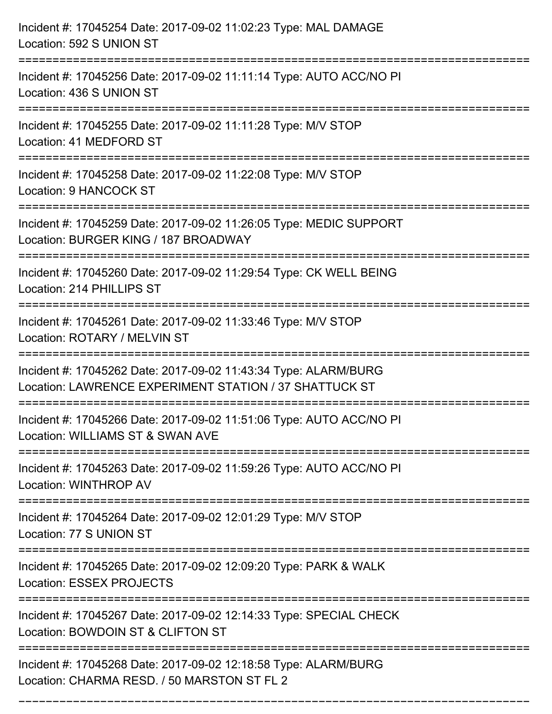| Incident #: 17045254 Date: 2017-09-02 11:02:23 Type: MAL DAMAGE<br>Location: 592 S UNION ST<br>=========================            |
|-------------------------------------------------------------------------------------------------------------------------------------|
| Incident #: 17045256 Date: 2017-09-02 11:11:14 Type: AUTO ACC/NO PI<br>Location: 436 S UNION ST                                     |
| Incident #: 17045255 Date: 2017-09-02 11:11:28 Type: M/V STOP<br>Location: 41 MEDFORD ST<br>:=============================          |
| Incident #: 17045258 Date: 2017-09-02 11:22:08 Type: M/V STOP<br>Location: 9 HANCOCK ST                                             |
| Incident #: 17045259 Date: 2017-09-02 11:26:05 Type: MEDIC SUPPORT<br>Location: BURGER KING / 187 BROADWAY<br>===================== |
| Incident #: 17045260 Date: 2017-09-02 11:29:54 Type: CK WELL BEING<br>Location: 214 PHILLIPS ST                                     |
| Incident #: 17045261 Date: 2017-09-02 11:33:46 Type: M/V STOP<br>Location: ROTARY / MELVIN ST                                       |
| Incident #: 17045262 Date: 2017-09-02 11:43:34 Type: ALARM/BURG<br>Location: LAWRENCE EXPERIMENT STATION / 37 SHATTUCK ST           |
| Incident #: 17045266 Date: 2017-09-02 11:51:06 Type: AUTO ACC/NO PI<br>Location: WILLIAMS ST & SWAN AVE                             |
| Incident #: 17045263 Date: 2017-09-02 11:59:26 Type: AUTO ACC/NO PI<br>Location: WINTHROP AV                                        |
| Incident #: 17045264 Date: 2017-09-02 12:01:29 Type: M/V STOP<br>Location: 77 S UNION ST                                            |
| Incident #: 17045265 Date: 2017-09-02 12:09:20 Type: PARK & WALK<br><b>Location: ESSEX PROJECTS</b>                                 |
| Incident #: 17045267 Date: 2017-09-02 12:14:33 Type: SPECIAL CHECK<br>Location: BOWDOIN ST & CLIFTON ST                             |
| Incident #: 17045268 Date: 2017-09-02 12:18:58 Type: ALARM/BURG<br>Location: CHARMA RESD. / 50 MARSTON ST FL 2                      |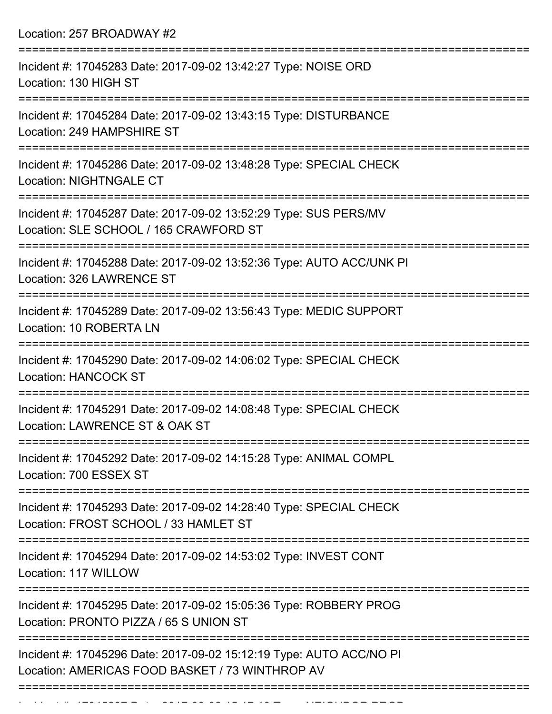Location: 257 BROADWAY #2

| Incident #: 17045283 Date: 2017-09-02 13:42:27 Type: NOISE ORD<br>Location: 130 HIGH ST                                                |
|----------------------------------------------------------------------------------------------------------------------------------------|
| Incident #: 17045284 Date: 2017-09-02 13:43:15 Type: DISTURBANCE<br>Location: 249 HAMPSHIRE ST                                         |
| Incident #: 17045286 Date: 2017-09-02 13:48:28 Type: SPECIAL CHECK<br><b>Location: NIGHTNGALE CT</b>                                   |
| Incident #: 17045287 Date: 2017-09-02 13:52:29 Type: SUS PERS/MV<br>Location: SLE SCHOOL / 165 CRAWFORD ST                             |
| Incident #: 17045288 Date: 2017-09-02 13:52:36 Type: AUTO ACC/UNK PI<br>Location: 326 LAWRENCE ST                                      |
| Incident #: 17045289 Date: 2017-09-02 13:56:43 Type: MEDIC SUPPORT<br>Location: 10 ROBERTA LN                                          |
| Incident #: 17045290 Date: 2017-09-02 14:06:02 Type: SPECIAL CHECK<br><b>Location: HANCOCK ST</b>                                      |
| Incident #: 17045291 Date: 2017-09-02 14:08:48 Type: SPECIAL CHECK<br>Location: LAWRENCE ST & OAK ST                                   |
| Incident #: 17045292 Date: 2017-09-02 14:15:28 Type: ANIMAL COMPL<br>Location: 700 ESSEX ST                                            |
| =======================<br>Incident #: 17045293 Date: 2017-09-02 14:28:40 Type: SPECIAL CHECK<br>Location: FROST SCHOOL / 33 HAMLET ST |
| Incident #: 17045294 Date: 2017-09-02 14:53:02 Type: INVEST CONT<br>Location: 117 WILLOW                                               |
| Incident #: 17045295 Date: 2017-09-02 15:05:36 Type: ROBBERY PROG<br>Location: PRONTO PIZZA / 65 S UNION ST                            |
| Incident #: 17045296 Date: 2017-09-02 15:12:19 Type: AUTO ACC/NO PI<br>Location: AMERICAS FOOD BASKET / 73 WINTHROP AV                 |
|                                                                                                                                        |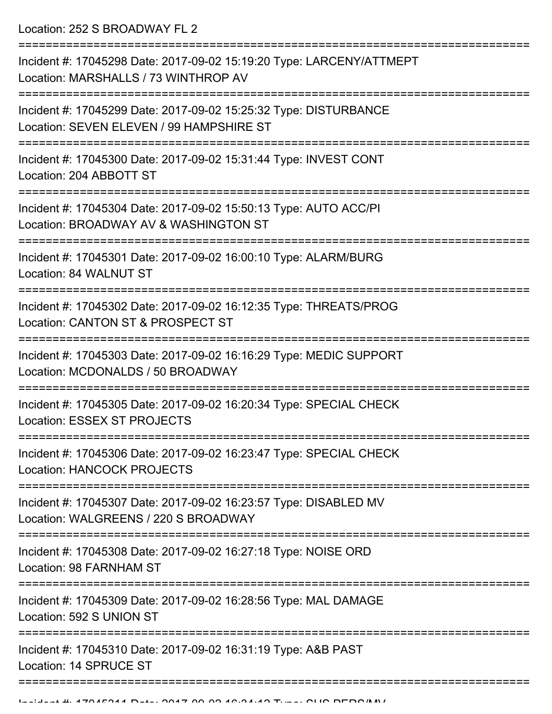Location: 252 S BROADWAY FL 2

| Incident #: 17045298 Date: 2017-09-02 15:19:20 Type: LARCENY/ATTMEPT<br>Location: MARSHALLS / 73 WINTHROP AV          |
|-----------------------------------------------------------------------------------------------------------------------|
| Incident #: 17045299 Date: 2017-09-02 15:25:32 Type: DISTURBANCE<br>Location: SEVEN ELEVEN / 99 HAMPSHIRE ST          |
| Incident #: 17045300 Date: 2017-09-02 15:31:44 Type: INVEST CONT<br>Location: 204 ABBOTT ST                           |
| Incident #: 17045304 Date: 2017-09-02 15:50:13 Type: AUTO ACC/PI<br>Location: BROADWAY AV & WASHINGTON ST             |
| Incident #: 17045301 Date: 2017-09-02 16:00:10 Type: ALARM/BURG<br>Location: 84 WALNUT ST                             |
| Incident #: 17045302 Date: 2017-09-02 16:12:35 Type: THREATS/PROG<br>Location: CANTON ST & PROSPECT ST                |
| Incident #: 17045303 Date: 2017-09-02 16:16:29 Type: MEDIC SUPPORT<br>Location: MCDONALDS / 50 BROADWAY               |
| Incident #: 17045305 Date: 2017-09-02 16:20:34 Type: SPECIAL CHECK<br>Location: ESSEX ST PROJECTS                     |
| Incident #: 17045306 Date: 2017-09-02 16:23:47 Type: SPECIAL CHECK<br><b>Location: HANCOCK PROJECTS</b>               |
| =========<br>Incident #: 17045307 Date: 2017-09-02 16:23:57 Type: DISABLED MV<br>Location: WALGREENS / 220 S BROADWAY |
| Incident #: 17045308 Date: 2017-09-02 16:27:18 Type: NOISE ORD<br>Location: 98 FARNHAM ST                             |
| Incident #: 17045309 Date: 2017-09-02 16:28:56 Type: MAL DAMAGE<br>Location: 592 S UNION ST                           |
| Incident #: 17045310 Date: 2017-09-02 16:31:19 Type: A&B PAST<br>Location: 14 SPRUCE ST                               |
|                                                                                                                       |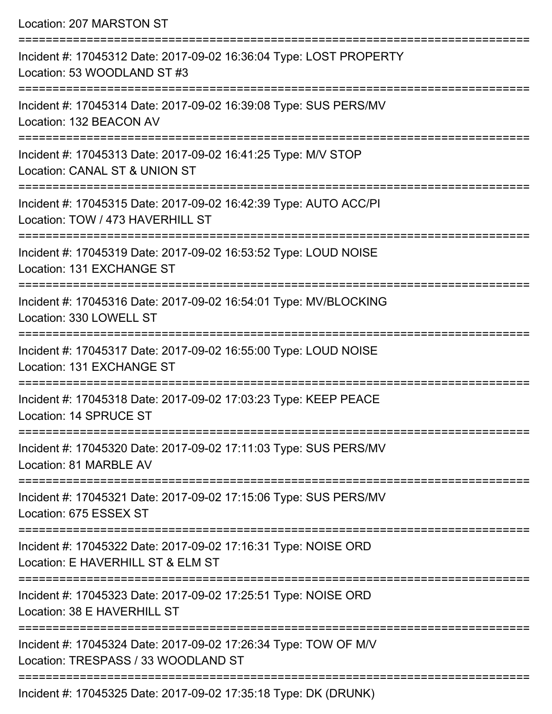Location: 207 MARSTON ST =========================================================================== Incident #: 17045312 Date: 2017-09-02 16:36:04 Type: LOST PROPERTY Location: 53 WOODLAND ST #3 =========================================================================== Incident #: 17045314 Date: 2017-09-02 16:39:08 Type: SUS PERS/MV Location: 132 BEACON AV =========================================================================== Incident #: 17045313 Date: 2017-09-02 16:41:25 Type: M/V STOP Location: CANAL ST & UNION ST =========================================================================== Incident #: 17045315 Date: 2017-09-02 16:42:39 Type: AUTO ACC/PI Location: TOW / 473 HAVERHILL ST =========================================================================== Incident #: 17045319 Date: 2017-09-02 16:53:52 Type: LOUD NOISE Location: 131 EXCHANGE ST =========================================================================== Incident #: 17045316 Date: 2017-09-02 16:54:01 Type: MV/BLOCKING Location: 330 LOWELL ST =========================================================================== Incident #: 17045317 Date: 2017-09-02 16:55:00 Type: LOUD NOISE Location: 131 EXCHANGE ST =========================================================================== Incident #: 17045318 Date: 2017-09-02 17:03:23 Type: KEEP PEACE Location: 14 SPRUCE ST =========================================================================== Incident #: 17045320 Date: 2017-09-02 17:11:03 Type: SUS PERS/MV Location: 81 MARBLE AV =========================================================================== Incident #: 17045321 Date: 2017-09-02 17:15:06 Type: SUS PERS/MV Location: 675 ESSEX ST =========================================================================== Incident #: 17045322 Date: 2017-09-02 17:16:31 Type: NOISE ORD Location: F HAVERHILL ST & FLM ST =========================================================================== Incident #: 17045323 Date: 2017-09-02 17:25:51 Type: NOISE ORD Location: 38 E HAVERHILL ST =========================================================================== Incident #: 17045324 Date: 2017-09-02 17:26:34 Type: TOW OF M/V Location: TRESPASS / 33 WOODLAND ST ===========================================================================

Incident #: 17045325 Date: 2017-09-02 17:35:18 Type: DK (DRUNK)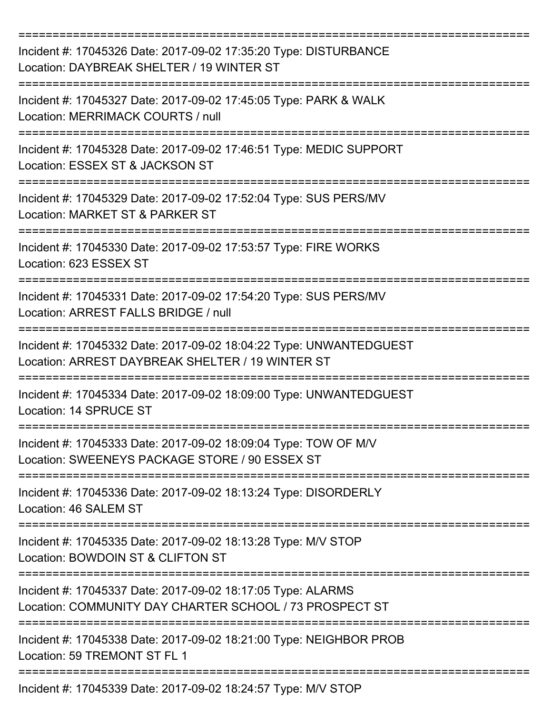| Incident #: 17045326 Date: 2017-09-02 17:35:20 Type: DISTURBANCE<br>Location: DAYBREAK SHELTER / 19 WINTER ST                                        |
|------------------------------------------------------------------------------------------------------------------------------------------------------|
| Incident #: 17045327 Date: 2017-09-02 17:45:05 Type: PARK & WALK<br>Location: MERRIMACK COURTS / null                                                |
| Incident #: 17045328 Date: 2017-09-02 17:46:51 Type: MEDIC SUPPORT<br>Location: ESSEX ST & JACKSON ST                                                |
| Incident #: 17045329 Date: 2017-09-02 17:52:04 Type: SUS PERS/MV<br>Location: MARKET ST & PARKER ST                                                  |
| Incident #: 17045330 Date: 2017-09-02 17:53:57 Type: FIRE WORKS<br>Location: 623 ESSEX ST                                                            |
| Incident #: 17045331 Date: 2017-09-02 17:54:20 Type: SUS PERS/MV<br>Location: ARREST FALLS BRIDGE / null                                             |
| Incident #: 17045332 Date: 2017-09-02 18:04:22 Type: UNWANTEDGUEST<br>Location: ARREST DAYBREAK SHELTER / 19 WINTER ST                               |
| Incident #: 17045334 Date: 2017-09-02 18:09:00 Type: UNWANTEDGUEST<br>Location: 14 SPRUCE ST                                                         |
| ===============================<br>Incident #: 17045333 Date: 2017-09-02 18:09:04 Type: TOW OF M/V<br>Location: SWEENEYS PACKAGE STORE / 90 ESSEX ST |
| Incident #: 17045336 Date: 2017-09-02 18:13:24 Type: DISORDERLY<br>Location: 46 SALEM ST                                                             |
| Incident #: 17045335 Date: 2017-09-02 18:13:28 Type: M/V STOP<br>Location: BOWDOIN ST & CLIFTON ST                                                   |
| Incident #: 17045337 Date: 2017-09-02 18:17:05 Type: ALARMS<br>Location: COMMUNITY DAY CHARTER SCHOOL / 73 PROSPECT ST                               |
| Incident #: 17045338 Date: 2017-09-02 18:21:00 Type: NEIGHBOR PROB<br>Location: 59 TREMONT ST FL 1                                                   |
| Incident #: 17045339 Date: 2017-09-02 18:24:57 Type: M/V STOP                                                                                        |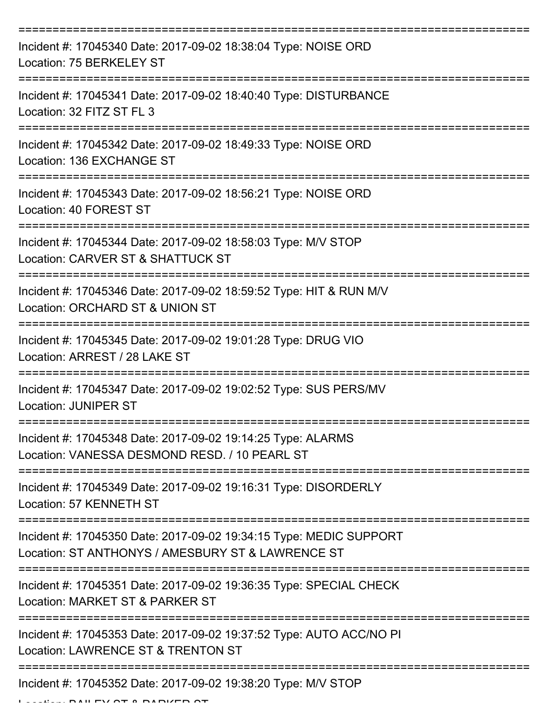| Incident #: 17045340 Date: 2017-09-02 18:38:04 Type: NOISE ORD<br>Location: 75 BERKELEY ST                              |
|-------------------------------------------------------------------------------------------------------------------------|
| Incident #: 17045341 Date: 2017-09-02 18:40:40 Type: DISTURBANCE<br>Location: 32 FITZ ST FL 3                           |
| Incident #: 17045342 Date: 2017-09-02 18:49:33 Type: NOISE ORD<br>Location: 136 EXCHANGE ST                             |
| Incident #: 17045343 Date: 2017-09-02 18:56:21 Type: NOISE ORD<br>Location: 40 FOREST ST                                |
| Incident #: 17045344 Date: 2017-09-02 18:58:03 Type: M/V STOP<br>Location: CARVER ST & SHATTUCK ST                      |
| Incident #: 17045346 Date: 2017-09-02 18:59:52 Type: HIT & RUN M/V<br>Location: ORCHARD ST & UNION ST                   |
| Incident #: 17045345 Date: 2017-09-02 19:01:28 Type: DRUG VIO<br>Location: ARREST / 28 LAKE ST                          |
| Incident #: 17045347 Date: 2017-09-02 19:02:52 Type: SUS PERS/MV<br><b>Location: JUNIPER ST</b>                         |
| Incident #: 17045348 Date: 2017-09-02 19:14:25 Type: ALARMS<br>Location: VANESSA DESMOND RESD, / 10 PEARL ST            |
| Incident #: 17045349 Date: 2017-09-02 19:16:31 Type: DISORDERLY<br>Location: 57 KENNETH ST                              |
| Incident #: 17045350 Date: 2017-09-02 19:34:15 Type: MEDIC SUPPORT<br>Location: ST ANTHONYS / AMESBURY ST & LAWRENCE ST |
| Incident #: 17045351 Date: 2017-09-02 19:36:35 Type: SPECIAL CHECK<br>Location: MARKET ST & PARKER ST                   |
| Incident #: 17045353 Date: 2017-09-02 19:37:52 Type: AUTO ACC/NO PI<br>Location: LAWRENCE ST & TRENTON ST               |
| Incident #: 17045352 Date: 2017-09-02 19:38:20 Type: M/V STOP                                                           |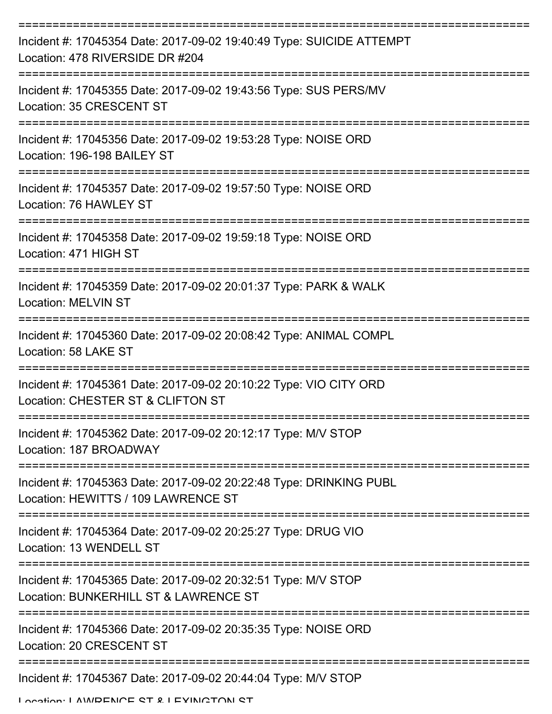| Incident #: 17045354 Date: 2017-09-02 19:40:49 Type: SUICIDE ATTEMPT<br>Location: 478 RIVERSIDE DR #204                             |
|-------------------------------------------------------------------------------------------------------------------------------------|
| Incident #: 17045355 Date: 2017-09-02 19:43:56 Type: SUS PERS/MV<br>Location: 35 CRESCENT ST                                        |
| Incident #: 17045356 Date: 2017-09-02 19:53:28 Type: NOISE ORD<br>Location: 196-198 BAILEY ST                                       |
| Incident #: 17045357 Date: 2017-09-02 19:57:50 Type: NOISE ORD<br>Location: 76 HAWLEY ST                                            |
| Incident #: 17045358 Date: 2017-09-02 19:59:18 Type: NOISE ORD<br>Location: 471 HIGH ST                                             |
| Incident #: 17045359 Date: 2017-09-02 20:01:37 Type: PARK & WALK<br><b>Location: MELVIN ST</b><br>--------------------------------- |
| Incident #: 17045360 Date: 2017-09-02 20:08:42 Type: ANIMAL COMPL<br>Location: 58 LAKE ST                                           |
| Incident #: 17045361 Date: 2017-09-02 20:10:22 Type: VIO CITY ORD<br>Location: CHESTER ST & CLIFTON ST                              |
| Incident #: 17045362 Date: 2017-09-02 20:12:17 Type: M/V STOP<br>Location: 187 BROADWAY                                             |
| Incident #: 17045363 Date: 2017-09-02 20:22:48 Type: DRINKING PUBL<br>Location: HEWITTS / 109 LAWRENCE ST                           |
| Incident #: 17045364 Date: 2017-09-02 20:25:27 Type: DRUG VIO<br>Location: 13 WENDELL ST                                            |
| Incident #: 17045365 Date: 2017-09-02 20:32:51 Type: M/V STOP<br>Location: BUNKERHILL ST & LAWRENCE ST                              |
| Incident #: 17045366 Date: 2017-09-02 20:35:35 Type: NOISE ORD<br>Location: 20 CRESCENT ST                                          |
| Incident #: 17045367 Date: 2017-09-02 20:44:04 Type: M/V STOP                                                                       |

Location: LAWDENCE ST & LEVINGTON ST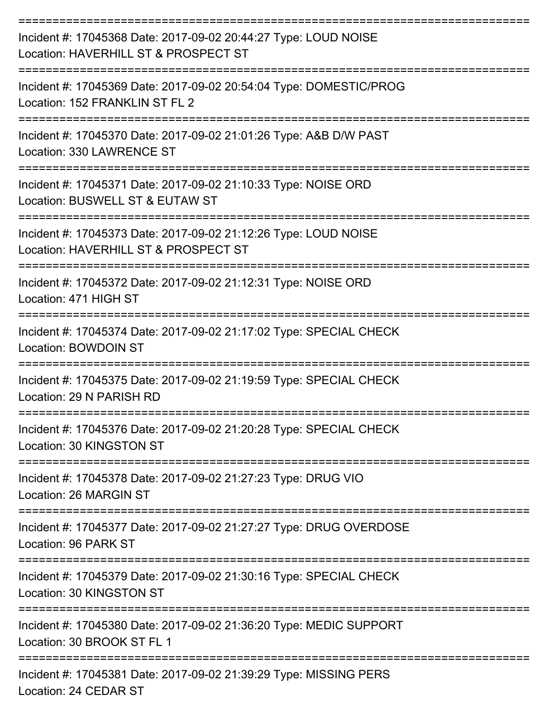| Incident #: 17045368 Date: 2017-09-02 20:44:27 Type: LOUD NOISE<br>Location: HAVERHILL ST & PROSPECT ST                   |
|---------------------------------------------------------------------------------------------------------------------------|
| Incident #: 17045369 Date: 2017-09-02 20:54:04 Type: DOMESTIC/PROG<br>Location: 152 FRANKLIN ST FL 2                      |
| Incident #: 17045370 Date: 2017-09-02 21:01:26 Type: A&B D/W PAST<br>Location: 330 LAWRENCE ST                            |
| Incident #: 17045371 Date: 2017-09-02 21:10:33 Type: NOISE ORD<br>Location: BUSWELL ST & EUTAW ST                         |
| Incident #: 17045373 Date: 2017-09-02 21:12:26 Type: LOUD NOISE<br>Location: HAVERHILL ST & PROSPECT ST                   |
| Incident #: 17045372 Date: 2017-09-02 21:12:31 Type: NOISE ORD<br>Location: 471 HIGH ST                                   |
| Incident #: 17045374 Date: 2017-09-02 21:17:02 Type: SPECIAL CHECK<br><b>Location: BOWDOIN ST</b>                         |
| =================<br>Incident #: 17045375 Date: 2017-09-02 21:19:59 Type: SPECIAL CHECK<br>Location: 29 N PARISH RD       |
| Incident #: 17045376 Date: 2017-09-02 21:20:28 Type: SPECIAL CHECK<br>Location: 30 KINGSTON ST                            |
| ===============<br>Incident #: 17045378 Date: 2017-09-02 21:27:23 Type: DRUG VIO<br>Location: 26 MARGIN ST                |
| Incident #: 17045377 Date: 2017-09-02 21:27:27 Type: DRUG OVERDOSE<br>Location: 96 PARK ST                                |
| =======================<br>Incident #: 17045379 Date: 2017-09-02 21:30:16 Type: SPECIAL CHECK<br>Location: 30 KINGSTON ST |
| Incident #: 17045380 Date: 2017-09-02 21:36:20 Type: MEDIC SUPPORT<br>Location: 30 BROOK ST FL 1                          |
| Incident #: 17045381 Date: 2017-09-02 21:39:29 Type: MISSING PERS<br>Location: 24 CEDAR ST                                |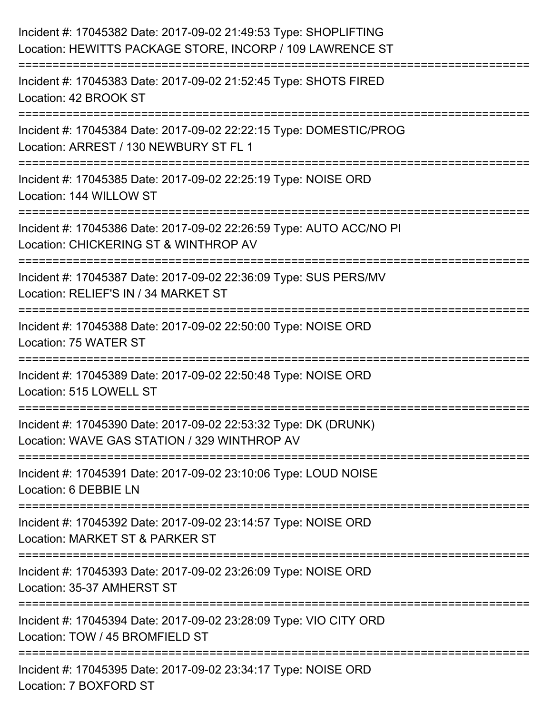| Incident #: 17045382 Date: 2017-09-02 21:49:53 Type: SHOPLIFTING<br>Location: HEWITTS PACKAGE STORE, INCORP / 109 LAWRENCE ST  |
|--------------------------------------------------------------------------------------------------------------------------------|
| Incident #: 17045383 Date: 2017-09-02 21:52:45 Type: SHOTS FIRED<br>Location: 42 BROOK ST                                      |
| Incident #: 17045384 Date: 2017-09-02 22:22:15 Type: DOMESTIC/PROG<br>Location: ARREST / 130 NEWBURY ST FL 1                   |
| Incident #: 17045385 Date: 2017-09-02 22:25:19 Type: NOISE ORD<br>Location: 144 WILLOW ST                                      |
| Incident #: 17045386 Date: 2017-09-02 22:26:59 Type: AUTO ACC/NO PI<br>Location: CHICKERING ST & WINTHROP AV                   |
| Incident #: 17045387 Date: 2017-09-02 22:36:09 Type: SUS PERS/MV<br>Location: RELIEF'S IN / 34 MARKET ST                       |
| Incident #: 17045388 Date: 2017-09-02 22:50:00 Type: NOISE ORD<br>Location: 75 WATER ST                                        |
| Incident #: 17045389 Date: 2017-09-02 22:50:48 Type: NOISE ORD<br>Location: 515 LOWELL ST                                      |
| Incident #: 17045390 Date: 2017-09-02 22:53:32 Type: DK (DRUNK)<br>Location: WAVE GAS STATION / 329 WINTHROP AV                |
| :=================================<br>Incident #: 17045391 Date: 2017-09-02 23:10:06 Type: LOUD NOISE<br>Location: 6 DEBBIE LN |
| Incident #: 17045392 Date: 2017-09-02 23:14:57 Type: NOISE ORD<br>Location: MARKET ST & PARKER ST                              |
| Incident #: 17045393 Date: 2017-09-02 23:26:09 Type: NOISE ORD<br>Location: 35-37 AMHERST ST                                   |
| Incident #: 17045394 Date: 2017-09-02 23:28:09 Type: VIO CITY ORD<br>Location: TOW / 45 BROMFIELD ST                           |
| Incident #: 17045395 Date: 2017-09-02 23:34:17 Type: NOISE ORD<br>Location: 7 BOXFORD ST                                       |